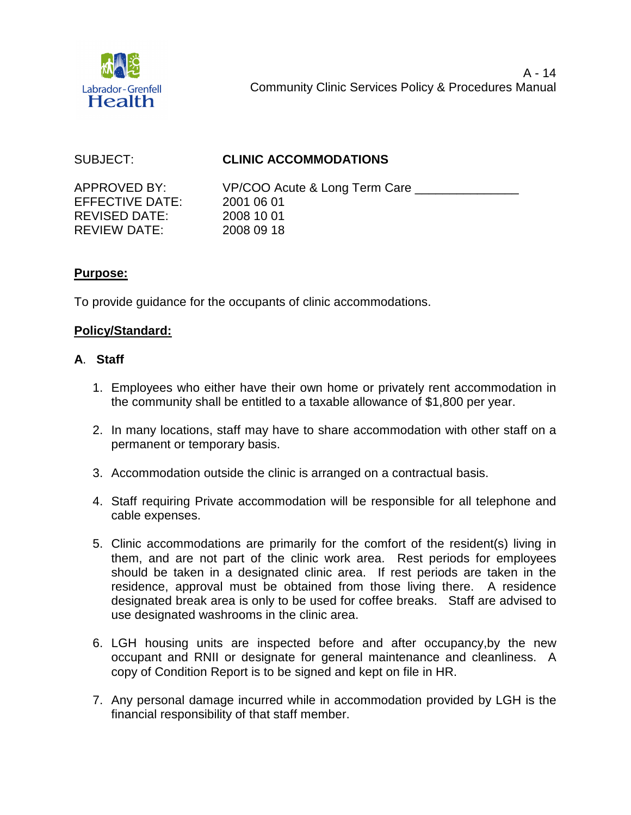

# SUBJECT: **CLINIC ACCOMMODATIONS**

EFFECTIVE DATE: 2001 06 01 REVISED DATE: 2008 10 01 REVIEW DATE: 2008 09 18

APPROVED BY: VP/COO Acute & Long Term Care

# **Purpose:**

To provide guidance for the occupants of clinic accommodations.

# **Policy/Standard:**

# **A**. **Staff**

- 1. Employees who either have their own home or privately rent accommodation in the community shall be entitled to a taxable allowance of \$1,800 per year.
- 2. In many locations, staff may have to share accommodation with other staff on a permanent or temporary basis.
- 3. Accommodation outside the clinic is arranged on a contractual basis.
- 4. Staff requiring Private accommodation will be responsible for all telephone and cable expenses.
- 5. Clinic accommodations are primarily for the comfort of the resident(s) living in them, and are not part of the clinic work area. Rest periods for employees should be taken in a designated clinic area. If rest periods are taken in the residence, approval must be obtained from those living there. A residence designated break area is only to be used for coffee breaks. Staff are advised to use designated washrooms in the clinic area.
- 6. LGH housing units are inspected before and after occupancy,by the new occupant and RNII or designate for general maintenance and cleanliness. A copy of Condition Report is to be signed and kept on file in HR.
- 7. Any personal damage incurred while in accommodation provided by LGH is the financial responsibility of that staff member.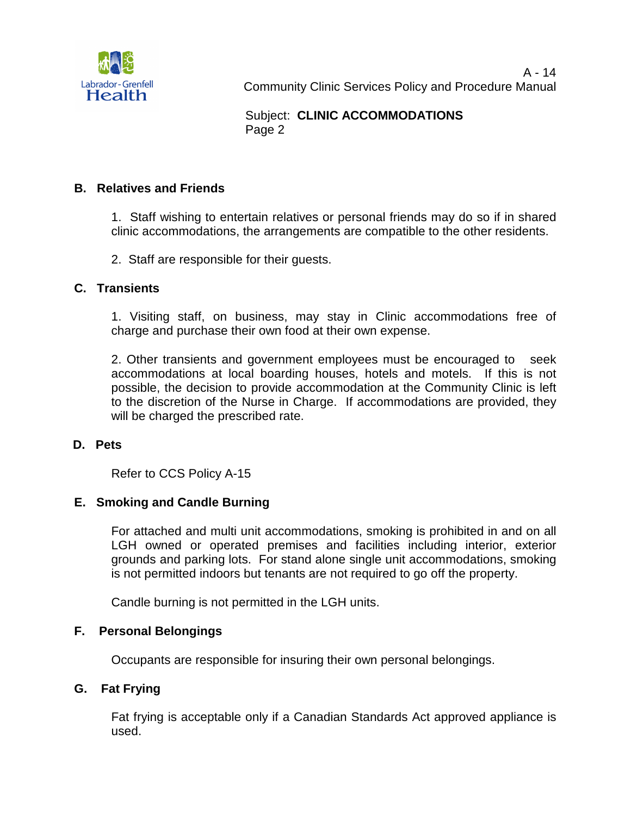

# Subject: **CLINIC ACCOMMODATIONS**  Page 2

## **B. Relatives and Friends**

1. Staff wishing to entertain relatives or personal friends may do so if in shared clinic accommodations, the arrangements are compatible to the other residents.

2. Staff are responsible for their guests.

### **C. Transients**

1. Visiting staff, on business, may stay in Clinic accommodations free of charge and purchase their own food at their own expense.

2. Other transients and government employees must be encouraged to seek accommodations at local boarding houses, hotels and motels. If this is not possible, the decision to provide accommodation at the Community Clinic is left to the discretion of the Nurse in Charge. If accommodations are provided, they will be charged the prescribed rate.

#### **D. Pets**

Refer to CCS Policy A-15

#### **E. Smoking and Candle Burning**

For attached and multi unit accommodations, smoking is prohibited in and on all LGH owned or operated premises and facilities including interior, exterior grounds and parking lots. For stand alone single unit accommodations, smoking is not permitted indoors but tenants are not required to go off the property.

Candle burning is not permitted in the LGH units.

#### **F. Personal Belongings**

Occupants are responsible for insuring their own personal belongings.

#### **G. Fat Frying**

Fat frying is acceptable only if a Canadian Standards Act approved appliance is used.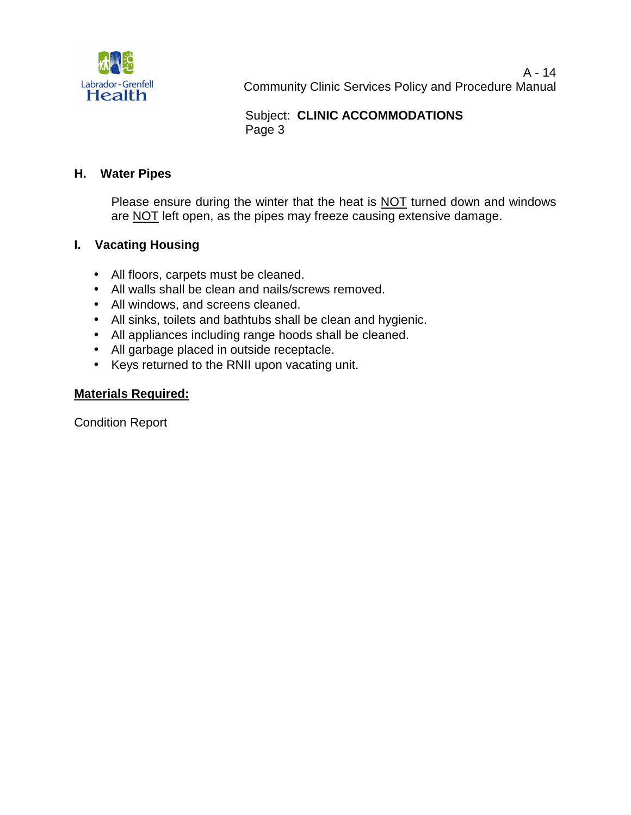

# Subject: **CLINIC ACCOMMODATIONS**  Page 3

# **H. Water Pipes**

Please ensure during the winter that the heat is NOT turned down and windows are NOT left open, as the pipes may freeze causing extensive damage.

# **I. Vacating Housing**

- All floors, carpets must be cleaned.
- All walls shall be clean and nails/screws removed.
- All windows, and screens cleaned.
- All sinks, toilets and bathtubs shall be clean and hygienic.
- All appliances including range hoods shall be cleaned.
- All garbage placed in outside receptacle.
- Keys returned to the RNII upon vacating unit.

# **Materials Required:**

Condition Report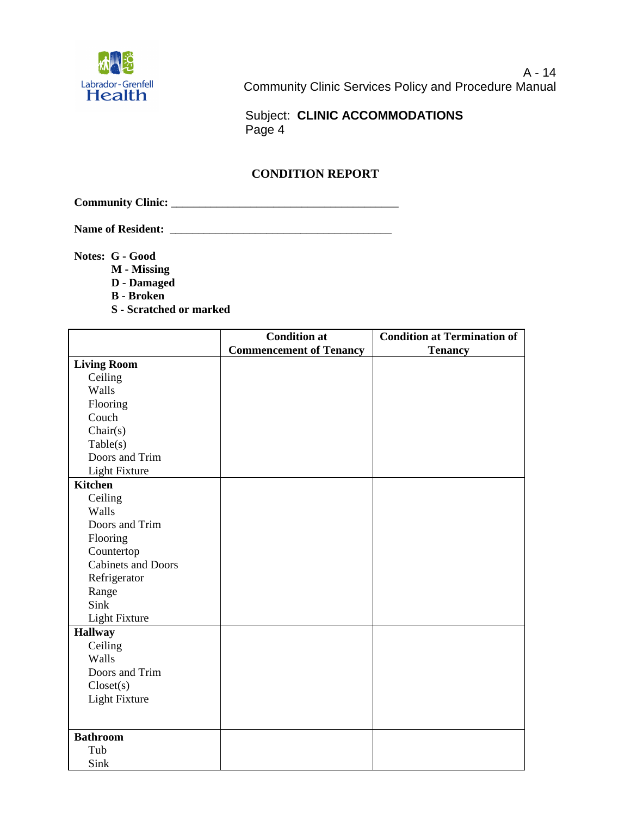

 Subject: **CLINIC ACCOMMODATIONS**  Page 4

## **CONDITION REPORT**

**Community Clinic:** \_\_\_\_\_\_\_\_\_\_\_\_\_\_\_\_\_\_\_\_\_\_\_\_\_\_\_\_\_\_\_\_\_\_\_\_\_\_\_\_

**Name of Resident:** \_\_\_\_\_\_\_\_\_\_\_\_\_\_\_\_\_\_\_\_\_\_\_\_\_\_\_\_\_\_\_\_\_\_\_\_\_\_\_

**Notes: G - Good** 

- **M Missing**
- **D Damaged**
- **B Broken**
- **S Scratched or marked**

|                           | <b>Condition at</b>            | <b>Condition at Termination of</b> |
|---------------------------|--------------------------------|------------------------------------|
|                           | <b>Commencement of Tenancy</b> | <b>Tenancy</b>                     |
| <b>Living Room</b>        |                                |                                    |
| Ceiling                   |                                |                                    |
| Walls                     |                                |                                    |
| Flooring                  |                                |                                    |
| Couch                     |                                |                                    |
| Chair(s)                  |                                |                                    |
| Table(s)                  |                                |                                    |
| Doors and Trim            |                                |                                    |
| <b>Light Fixture</b>      |                                |                                    |
| <b>Kitchen</b>            |                                |                                    |
| Ceiling                   |                                |                                    |
| Walls                     |                                |                                    |
| Doors and Trim            |                                |                                    |
| Flooring                  |                                |                                    |
| Countertop                |                                |                                    |
| <b>Cabinets and Doors</b> |                                |                                    |
| Refrigerator              |                                |                                    |
| Range                     |                                |                                    |
| Sink                      |                                |                                    |
| <b>Light Fixture</b>      |                                |                                    |
| <b>Hallway</b>            |                                |                                    |
| Ceiling                   |                                |                                    |
| Walls                     |                                |                                    |
| Doors and Trim            |                                |                                    |
| Closed(s)                 |                                |                                    |
| <b>Light Fixture</b>      |                                |                                    |
|                           |                                |                                    |
| <b>Bathroom</b>           |                                |                                    |
| Tub                       |                                |                                    |
| Sink                      |                                |                                    |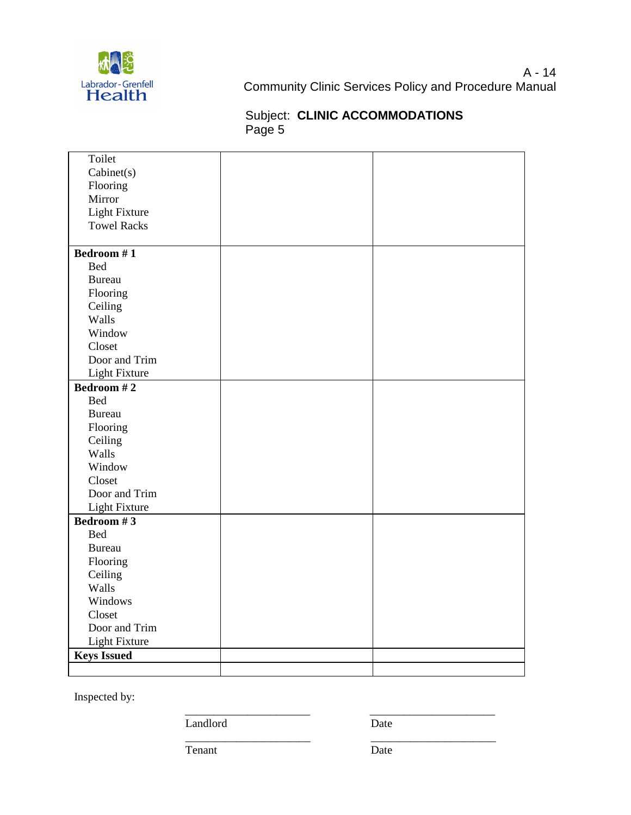

# Subject: **CLINIC ACCOMMODATIONS**  Page 5

| Toilet               |  |
|----------------------|--|
| Cabinet(s)           |  |
|                      |  |
| Flooring<br>Mirror   |  |
|                      |  |
| <b>Light Fixture</b> |  |
| <b>Towel Racks</b>   |  |
| Bedroom #1           |  |
| <b>Bed</b>           |  |
| <b>Bureau</b>        |  |
| Flooring             |  |
| Ceiling              |  |
| Walls                |  |
| Window               |  |
| Closet               |  |
| Door and Trim        |  |
| <b>Light Fixture</b> |  |
| Bedroom #2           |  |
| <b>Bed</b>           |  |
| <b>Bureau</b>        |  |
| Flooring             |  |
| Ceiling              |  |
| Walls                |  |
| Window               |  |
| Closet               |  |
| Door and Trim        |  |
| <b>Light Fixture</b> |  |
| Bedroom #3           |  |
| <b>Bed</b>           |  |
| <b>Bureau</b>        |  |
| Flooring             |  |
| Ceiling              |  |
| Walls                |  |
| Windows              |  |
| Closet               |  |
| Door and Trim        |  |
| <b>Light Fixture</b> |  |
| <b>Keys Issued</b>   |  |
|                      |  |

\_\_\_\_\_\_\_\_\_\_\_\_\_\_\_\_\_\_\_\_\_\_ \_\_\_\_\_\_\_\_\_\_\_\_\_\_\_\_\_\_\_\_\_\_

Inspected by:

Landlord Date

\_\_\_\_\_\_\_\_\_\_\_\_\_\_\_\_\_\_\_\_\_\_ \_\_\_\_\_\_\_\_\_\_\_\_\_\_\_\_\_\_\_\_\_\_

Tenant Date